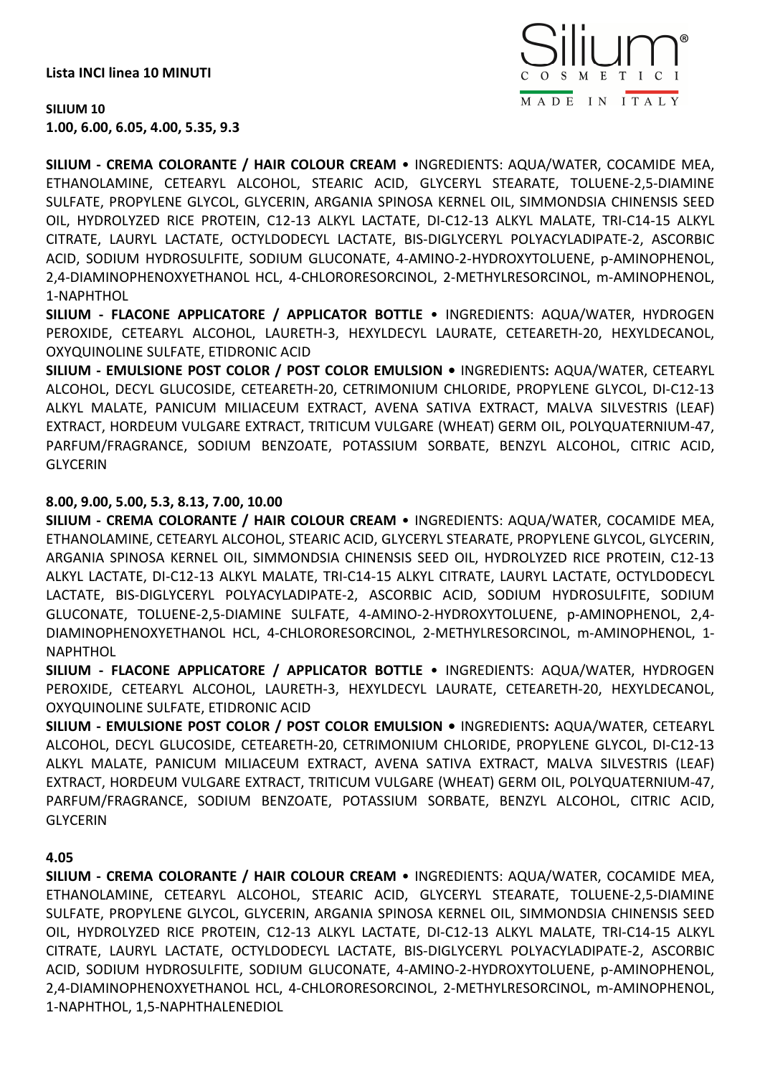**Lista INCI linea 10 MINUTI** 



**SILIUM 10 1.00, 6.00, 6.05, 4.00, 5.35, 9.3** 

**SILIUM - CREMA COLORANTE / HAIR COLOUR CREAM** • INGREDIENTS: AQUA/WATER, COCAMIDE MEA, ETHANOLAMINE, CETEARYL ALCOHOL, STEARIC ACID, GLYCERYL STEARATE, TOLUENE-2,5-DIAMINE SULFATE, PROPYLENE GLYCOL, GLYCERIN, ARGANIA SPINOSA KERNEL OIL, SIMMONDSIA CHINENSIS SEED OIL, HYDROLYZED RICE PROTEIN, C12-13 ALKYL LACTATE, DI-C12-13 ALKYL MALATE, TRI-C14-15 ALKYL CITRATE, LAURYL LACTATE, OCTYLDODECYL LACTATE, BIS-DIGLYCERYL POLYACYLADIPATE-2, ASCORBIC ACID, SODIUM HYDROSULFITE, SODIUM GLUCONATE, 4-AMINO-2-HYDROXYTOLUENE, p-AMINOPHENOL, 2,4-DIAMINOPHENOXYETHANOL HCL, 4-CHLORORESORCINOL, 2-METHYLRESORCINOL, m-AMINOPHENOL, 1-NAPHTHOL

**SILIUM - FLACONE APPLICATORE / APPLICATOR BOTTLE** • INGREDIENTS: AQUA/WATER, HYDROGEN PEROXIDE, CETEARYL ALCOHOL, LAURETH-3, HEXYLDECYL LAURATE, CETEARETH-20, HEXYLDECANOL, OXYQUINOLINE SULFATE, ETIDRONIC ACID

**SILIUM - EMULSIONE POST COLOR / POST COLOR EMULSION •** INGREDIENTS**:** AQUA/WATER, CETEARYL ALCOHOL, DECYL GLUCOSIDE, CETEARETH-20, CETRIMONIUM CHLORIDE, PROPYLENE GLYCOL, DI-C12-13 ALKYL MALATE, PANICUM MILIACEUM EXTRACT, AVENA SATIVA EXTRACT, MALVA SILVESTRIS (LEAF) EXTRACT, HORDEUM VULGARE EXTRACT, TRITICUM VULGARE (WHEAT) GERM OIL, POLYQUATERNIUM-47, PARFUM/FRAGRANCE, SODIUM BENZOATE, POTASSIUM SORBATE, BENZYL ALCOHOL, CITRIC ACID, GLYCERIN

## **8.00, 9.00, 5.00, 5.3, 8.13, 7.00, 10.00**

**SILIUM - CREMA COLORANTE / HAIR COLOUR CREAM** • INGREDIENTS: AQUA/WATER, COCAMIDE MEA, ETHANOLAMINE, CETEARYL ALCOHOL, STEARIC ACID, GLYCERYL STEARATE, PROPYLENE GLYCOL, GLYCERIN, ARGANIA SPINOSA KERNEL OIL, SIMMONDSIA CHINENSIS SEED OIL, HYDROLYZED RICE PROTEIN, C12-13 ALKYL LACTATE, DI-C12-13 ALKYL MALATE, TRI-C14-15 ALKYL CITRATE, LAURYL LACTATE, OCTYLDODECYL LACTATE, BIS-DIGLYCERYL POLYACYLADIPATE-2, ASCORBIC ACID, SODIUM HYDROSULFITE, SODIUM GLUCONATE, TOLUENE-2,5-DIAMINE SULFATE, 4-AMINO-2-HYDROXYTOLUENE, p-AMINOPHENOL, 2,4- DIAMINOPHENOXYETHANOL HCL, 4-CHLORORESORCINOL, 2-METHYLRESORCINOL, m-AMINOPHENOL, 1- NAPHTHOL

**SILIUM - FLACONE APPLICATORE / APPLICATOR BOTTLE** • INGREDIENTS: AQUA/WATER, HYDROGEN PEROXIDE, CETEARYL ALCOHOL, LAURETH-3, HEXYLDECYL LAURATE, CETEARETH-20, HEXYLDECANOL, OXYQUINOLINE SULFATE, ETIDRONIC ACID

**SILIUM - EMULSIONE POST COLOR / POST COLOR EMULSION •** INGREDIENTS**:** AQUA/WATER, CETEARYL ALCOHOL, DECYL GLUCOSIDE, CETEARETH-20, CETRIMONIUM CHLORIDE, PROPYLENE GLYCOL, DI-C12-13 ALKYL MALATE, PANICUM MILIACEUM EXTRACT, AVENA SATIVA EXTRACT, MALVA SILVESTRIS (LEAF) EXTRACT, HORDEUM VULGARE EXTRACT, TRITICUM VULGARE (WHEAT) GERM OIL, POLYQUATERNIUM-47, PARFUM/FRAGRANCE, SODIUM BENZOATE, POTASSIUM SORBATE, BENZYL ALCOHOL, CITRIC ACID, GLYCERIN

## **4.05**

**SILIUM - CREMA COLORANTE / HAIR COLOUR CREAM** • INGREDIENTS: AQUA/WATER, COCAMIDE MEA, ETHANOLAMINE, CETEARYL ALCOHOL, STEARIC ACID, GLYCERYL STEARATE, TOLUENE-2,5-DIAMINE SULFATE, PROPYLENE GLYCOL, GLYCERIN, ARGANIA SPINOSA KERNEL OIL, SIMMONDSIA CHINENSIS SEED OIL, HYDROLYZED RICE PROTEIN, C12-13 ALKYL LACTATE, DI-C12-13 ALKYL MALATE, TRI-C14-15 ALKYL CITRATE, LAURYL LACTATE, OCTYLDODECYL LACTATE, BIS-DIGLYCERYL POLYACYLADIPATE-2, ASCORBIC ACID, SODIUM HYDROSULFITE, SODIUM GLUCONATE, 4-AMINO-2-HYDROXYTOLUENE, p-AMINOPHENOL, 2,4-DIAMINOPHENOXYETHANOL HCL, 4-CHLORORESORCINOL, 2-METHYLRESORCINOL, m-AMINOPHENOL, 1-NAPHTHOL, 1,5-NAPHTHALENEDIOL